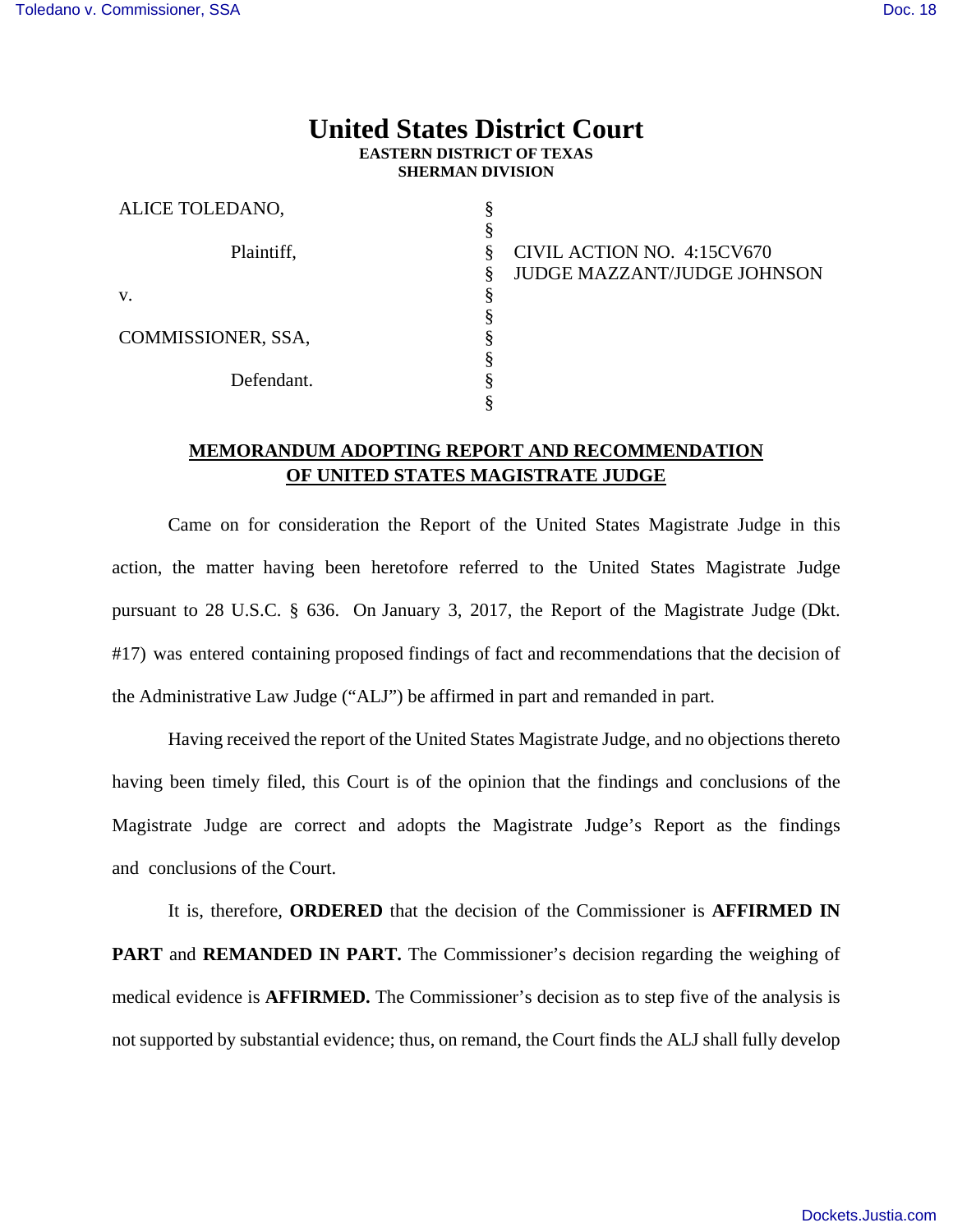## **United States District Court EASTERN DISTRICT OF TEXAS SHERMAN DIVISION**

| ALICE TOLEDANO,    |                             |
|--------------------|-----------------------------|
|                    |                             |
| Plaintiff,         | CIVIL ACTION NO. 4:15CV670  |
|                    | JUDGE MAZZANT/JUDGE JOHNSON |
| V.                 |                             |
|                    |                             |
| COMMISSIONER, SSA, |                             |
|                    |                             |
| Defendant.         |                             |
|                    |                             |

## **MEMORANDUM ADOPTING REPORT AND RECOMMENDATION OF UNITED STATES MAGISTRATE JUDGE**

Came on for consideration the Report of the United States Magistrate Judge in this action, the matter having been heretofore referred to the United States Magistrate Judge pursuant to 28 U.S.C. § 636. On January 3, 2017, the Report of the Magistrate Judge (Dkt. #17) was entered containing proposed findings of fact and recommendations that the decision of the Administrative Law Judge ("ALJ") be affirmed in part and remanded in part.

Having received the report of the United States Magistrate Judge, and no objections thereto having been timely filed, this Court is of the opinion that the findings and conclusions of the Magistrate Judge are correct and adopts the Magistrate Judge's Report as the findings and conclusions of the Court.

It is, therefore, **ORDERED** that the decision of the Commissioner is **AFFIRMED IN PART** and **REMANDED IN PART.** The Commissioner's decision regarding the weighing of medical evidence is **AFFIRMED.** The Commissioner's decision as to step five of the analysis is not supported by substantial evidence; thus, on remand, the Court finds the ALJ shall fully develop